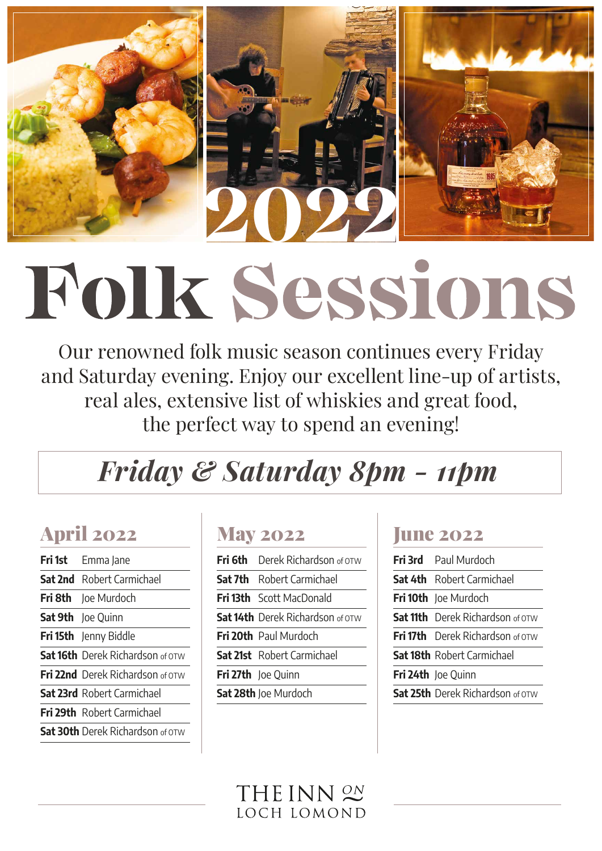

Our renowned folk music season continues every Friday and Saturday evening. Enjoy our excellent line-up of artists, real ales, extensive list of whiskies and great food, the perfect way to spend an evening!

# *Friday & Saturday 8pm - 11pm*

## April 2022

| <b>Fri 1st</b> Emma Jane                |
|-----------------------------------------|
| <b>Sat 2nd</b> Robert Carmichael        |
| <b>Fri 8th</b> Joe Murdoch              |
| Sat 9th Joe Quinn                       |
| Fri 15th Jenny Biddle                   |
| <b>Sat 16th</b> Derek Richardson of OTW |
| <b>Fri 22nd</b> Derek Richardson of OTW |
| <b>Sat 23rd</b> Robert Carmichael       |
| <b>Fri 29th</b> Robert Carmichael       |
| <b>Sat 30th</b> Derek Richardson of OTW |

#### May 2022

| <b>Fri 6th</b> Derek Richardson of OTW  |
|-----------------------------------------|
| <b>Sat 7th</b> Robert Carmichael        |
| <b>Fri 13th</b> Scott MacDonald         |
| <b>Sat 14th</b> Derek Richardson of OTW |
| Fri 20th Paul Murdoch                   |
| <b>Sat 21st</b> Robert Carmichael       |
| Fri 27th Joe Quinn                      |
| <b>Sat 28th</b> Joe Murdoch             |
|                                         |

#### **June 2022**

| Fri 3rd Paul Murdoch                    |
|-----------------------------------------|
| <b>Sat 4th</b> Robert Carmichael        |
| Fri 10th Joe Murdoch                    |
| <b>Sat 11th</b> Derek Richardson of OTW |
| <b>Fri 17th</b> Derek Richardson of OTW |
| <b>Sat 18th</b> Robert Carmichael       |
| <b>Fri 24th</b> Joe Quinn               |
| <b>Sat 25th</b> Derek Richardson of OTW |

### HEINN <sup>ON</sup> LOCH LOMOND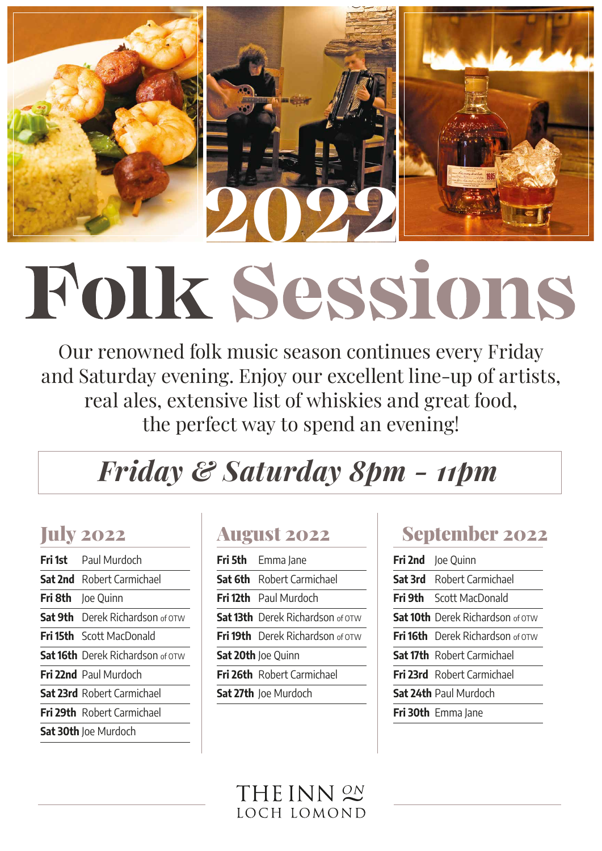

Our renowned folk music season continues every Friday and Saturday evening. Enjoy our excellent line-up of artists, real ales, extensive list of whiskies and great food, the perfect way to spend an evening!

# *Friday & Saturday 8pm - 11pm*

## July 2022

| Fri 1st Paul Murdoch                    |
|-----------------------------------------|
| <b>Sat 2nd</b> Robert Carmichael        |
| Fri 8th Joe Quinn                       |
| <b>Sat 9th</b> Derek Richardson of OTW  |
| Fri 15th Scott MacDonald                |
| <b>Sat 16th</b> Derek Richardson of OTW |
| <b>Fri 22nd</b> Paul Murdoch            |
| <b>Sat 23rd</b> Robert Carmichael       |
| <b>Fri 29th</b> Robert Carmichael       |
| <b>Sat 30th</b> Joe Murdoch             |
|                                         |

#### August 2022

| Fri 5th Emma Jane                       |
|-----------------------------------------|
| <b>Sat 6th</b> Robert Carmichael        |
| <b>Fri 12th</b> Paul Murdoch            |
| <b>Sat 13th</b> Derek Richardson of OTW |
| <b>Fri 19th</b> Derek Richardson of OTW |
| Sat 20th Joe Quinn                      |
| <b>Fri 26th</b> Robert Carmichael       |
| Sat 27th Joe Murdoch                    |
|                                         |

### September 2022

| Fri 2nd Joe Quinn                       |
|-----------------------------------------|
| <b>Sat 3rd</b> Robert Carmichael        |
| <b>Fri 9th</b> Scott MacDonald          |
| <b>Sat 10th</b> Derek Richardson of OTW |
| <b>Fri 16th</b> Derek Richardson of OTW |
| <b>Sat 17th</b> Robert Carmichael       |
| <b>Fri 23rd</b> Robert Carmichael       |
| <b>Sat 24th</b> Paul Murdoch            |
| <b>Fri 30th</b> Emma Jane               |

#### HEINN <sup>ON</sup> LOCH LOMOND